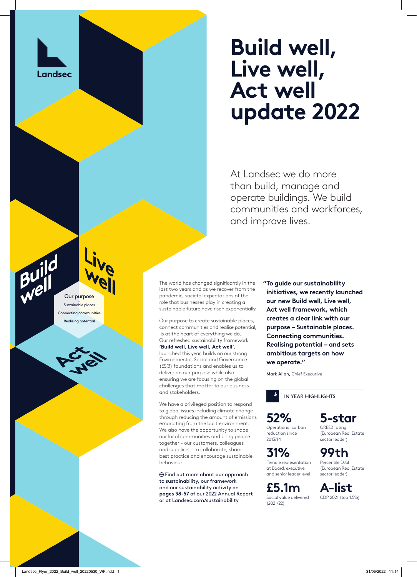

Our purpose Sustainable places \_ Connecting communities \_ Realising potential

# **Build well, Live well, Act well update 2022**

At Landsec we do more than build, manage and operate buildings. We build communities and workforces, and improve lives.

The world has changed significantly in the last two years and as we recover from the pandemic, societal expectations of the role that businesses play in creating a sustainable future have risen exponentially.

Our purpose to create sustainable places, connect communities and realise potential, is at the heart of everything we do. Our refreshed sustainability framework **'Build well, Live well, Act well',** launched this year, builds on our strong Environmental, Social and Governance (ESG) foundations and enables us to deliver on our purpose while also ensuring we are focusing on the global challenges that matter to our business and stakeholders.

We have a privileged position to respond to global issues including climate change through reducing the amount of emissions emanating from the built environment. We also have the opportunity to shape our local communities and bring people together – our customers, colleagues and suppliers – to collaborate, share best practice and encourage sustainable behaviour.

 Find out more about our approach to sustainability, our framework and our sustainability activity on **pages 38-57** of our 2022 Annual Report or at Landsec.com/sustainability

 **"To guide our sustainability initiatives, we recently launched our new Build well, Live well, Act well framework, which creates a clear link with our purpose – Sustainable places. Connecting communities. Realising potential – and sets ambitious targets on how we operate."**

Mark Allan, Chief Executive



**52%** Operational carbon reduction since

2013/14

**31%** Female representation at Board, executive and senior leader level

**£5.1m** Social value delivered (2021/22)

**5-star** GRESB rating

(European Real Estate sector leader)

**99th** Percentile DJSI (European Real Estate sector leader)

**A-list** CDP 2021 (top 1.5%)